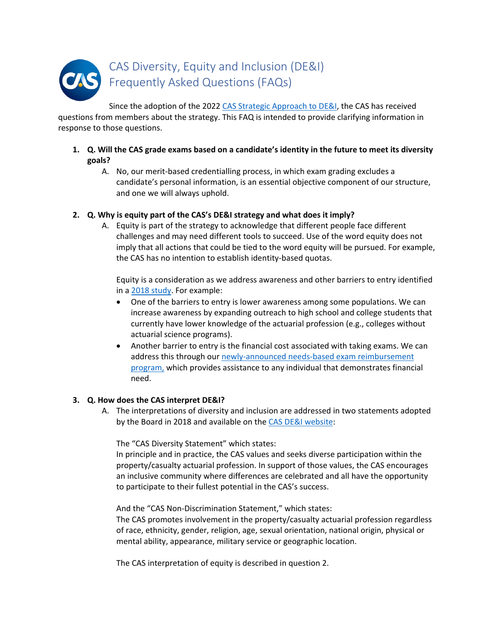

Since the adoption of the 2022 [CAS Strategic Approach to DE&I,](https://www.casact.org/about/diversity-equity-inclusion/visions-dei-cas) the CAS has received questions from members about the strategy. This FAQ is intended to provide clarifying information in response to those questions.

- **1. Q. Will the CAS grade exams based on a candidate's identity in the future to meet its diversity goals?** 
	- A. No, our merit-based credentialling process, in which exam grading excludes a candidate's personal information, is an essential objective component of our structure, and one we will always uphold.

#### **2. Q. Why is equity part of the CAS's DE&I strategy and what does it imply?**

A. Equity is part of the strategy to acknowledge that different people face different challenges and may need different tools to succeed. Use of the word equity does not imply that all actions that could be tied to the word equity will be pursued. For example, the CAS has no intention to establish identity-based quotas.

Equity is a consideration as we address awareness and other barriers to entry identified in a [2018 study.](https://www.casact.org/barriers-entry-study) For example:

- One of the barriers to entry is lower awareness among some populations. We can increase awareness by expanding outreach to high school and college students that currently have lower knowledge of the actuarial profession (e.g., colleges without actuarial science programs).
- Another barrier to entry is the financial cost associated with taking exams. We can address this through our [newly-announced needs-based exam reimbursement](https://www.casact.org/article/casualty-actuarial-society-and-society-actuaries-introduce-needs-based-exam-reimbursement)  [program,](https://www.casact.org/article/casualty-actuarial-society-and-society-actuaries-introduce-needs-based-exam-reimbursement) which provides assistance to any individual that demonstrates financial need.

#### **3. Q. How does the CAS interpret DE&I?**

A. The interpretations of diversity and inclusion are addressed in two statements adopted by the Board in 2018 and available on the [CAS DE&I website:](https://www.casact.org/about/diversity-equity-inclusion/visions-dei-cas)

The "CAS Diversity Statement" which states:

In principle and in practice, the CAS values and seeks diverse participation within the property/casualty actuarial profession. In support of those values, the CAS encourages an inclusive community where differences are celebrated and all have the opportunity to participate to their fullest potential in the CAS's success.

And the "CAS Non-Discrimination Statement," which states:

The CAS promotes involvement in the property/casualty actuarial profession regardless of race, ethnicity, gender, religion, age, sexual orientation, national origin, physical or mental ability, appearance, military service or geographic location.

The CAS interpretation of equity is described in question 2.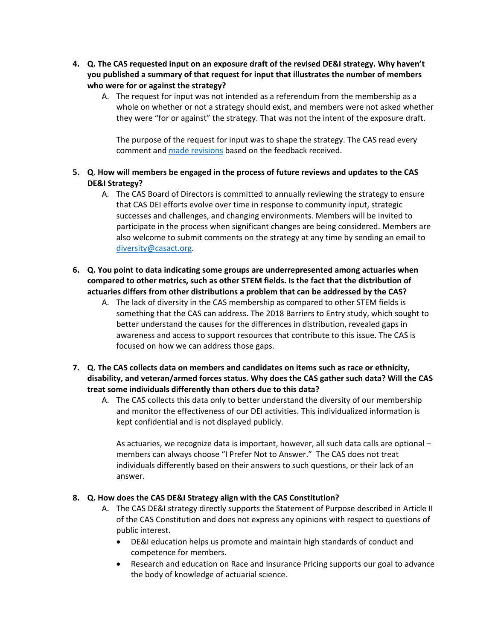- **4. Q. The CAS requested input on an exposure draft of the revised DE&I strategy. Why haven't you published a summary of that request for input that illustrates the number of members who were for or against the strategy?**
	- A. The request for input was not intended as a referendum from the membership as a whole on whether or not a strategy should exist, and members were not asked whether they were "for or against" the strategy. That was not the intent of the exposure draft.

The purpose of the request for input was to shape the strategy. The CAS read every comment and [made revisions](https://www.casact.org/article/cas-releases-updated-strategic-approach-diversity-equity-and-inclusion) based on the feedback received.

- **5. Q. How will members be engaged in the process of future reviews and updates to the CAS DE&I Strategy?**
	- A. The CAS Board of Directors is committed to annually reviewing the strategy to ensure that CAS DEI efforts evolve over time in response to community input, strategic successes and challenges, and changing environments. Members will be invited to participate in the process when significant changes are being considered. Members are also welcome to submit comments on the strategy at any time by sending an email to [diversity@casact.org.](mailto:diversity@casact.org)
- **6. Q. You point to data indicating some groups are underrepresented among actuaries when compared to other metrics, such as other STEM fields. Is the fact that the distribution of actuaries differs from other distributions a problem that can be addressed by the CAS?**
	- A. The lack of diversity in the CAS membership as compared to other STEM fields is something that the CAS can address. The 2018 Barriers to Entry study, which sought to better understand the causes for the differences in distribution, revealed gaps in awareness and access to support resources that contribute to this issue. The CAS is focused on how we can address those gaps.
- **7. Q. The CAS collects data on members and candidates on items such as race or ethnicity, disability, and veteran/armed forces status. Why does the CAS gather such data? Will the CAS treat some individuals differently than others due to this data?**
	- A. The CAS collects this data only to better understand the diversity of our membership and monitor the effectiveness of our DEI activities. This individualized information is kept confidential and is not displayed publicly.

As actuaries, we recognize data is important, however, all such data calls are optional – members can always choose "I Prefer Not to Answer." The CAS does not treat individuals differently based on their answers to such questions, or their lack of an answer.

# **8. Q. How does the CAS DE&I Strategy align with the CAS Constitution?**

- A. The CAS DE&I strategy directly supports the Statement of Purpose described in Article II of the CAS Constitution and does not express any opinions with respect to questions of public interest.
	- DE&I education helps us promote and maintain high standards of conduct and competence for members.
	- Research and education on Race and Insurance Pricing supports our goal to advance the body of knowledge of actuarial science.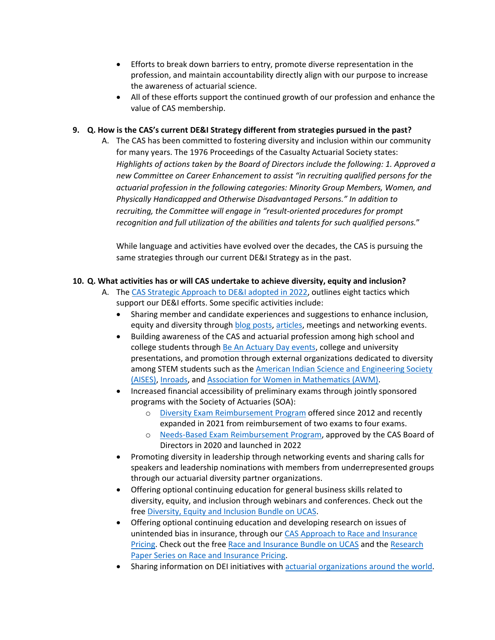- Efforts to break down barriers to entry, promote diverse representation in the profession, and maintain accountability directly align with our purpose to increase the awareness of actuarial science.
- All of these efforts support the continued growth of our profession and enhance the value of CAS membership.

## **9. Q. How is the CAS's current DE&I Strategy different from strategies pursued in the past?**

A. The CAS has been committed to fostering diversity and inclusion within our community for many years. The 1976 Proceedings of the Casualty Actuarial Society states: *Highlights of actions taken by the Board of Directors include the following: 1. Approved a new Committee on Career Enhancement to assist "in recruiting qualified persons for the actuarial profession in the following categories: Minority Group Members, Women, and Physically Handicapped and Otherwise Disadvantaged Persons." In addition to recruiting, the Committee will engage in "result-oriented procedures for prompt recognition and full utilization of the abilities and talents for such qualified persons.*"

While language and activities have evolved over the decades, the CAS is pursuing the same strategies through our current DE&I Strategy as in the past.

## **10. Q. What activities has or will CAS undertake to achieve diversity, equity and inclusion?**

- A. The [CAS Strategic Approach to DE&I adopted in 2022,](https://www.casact.org/about/diversity-equity-inclusion/visions-dei-cas) outlines eight tactics which support our DE&I efforts. Some specific activities include:
	- Sharing member and candidate experiences and suggestions to enhance inclusion, equity and diversity through blog posts, [articles,](https://ar.casact.org/?s=diversity) meetings and networking events.
	- Building awareness of the CAS and actuarial profession among high school and college students throug[h Be An Actuary Day events,](https://www.casact.org/article/casualty-actuarial-society-cas-and-society-actuaries-soa-successfully-host-first-be-actuary) college and university presentations, and promotion through external organizations dedicated to diversity among STEM students such as th[e American Indian Science and Engineering Society](https://www.aises.org/)  [\(AISES\),](https://www.aises.org/) [Inroads,](https://inroads.org/) an[d Association for Women in Mathematics \(AWM\).](https://awm-math.org/)
	- Increased financial accessibility of preliminary exams through jointly sponsored programs with the Society of Actuaries (SOA):
		- o [Diversity Exam Reimbursement Program](https://www.beanactuary.org/diversity-programs/diversity-exam-reimbursement-program/diversity-reimbursement-program-faq/) offered since 2012 and recently expanded in 2021 from reimbursement of two exams to four exams.
		- o [Needs-Based Exam Reimbursement Program,](https://www.casact.org/article/casualty-actuarial-society-and-society-actuaries-introduce-needs-based-exam-reimbursement) approved by the CAS Board of Directors in 2020 and launched in 2022
	- Promoting diversity in leadership through networking events and sharing calls for speakers and leadership nominations with members from underrepresented groups through our actuarial diversity partner organizations.
	- Offering optional continuing education for general business skills related to diversity, equity, and inclusion through webinars and conferences. Check out the fre[e Diversity, Equity and Inclusion Bundle on UCAS.](https://www.pathlms.com/cas/product_bundles/2320)
	- Offering optional continuing education and developing research on issues of unintended bias in insurance, through our [CAS Approach to Race and Insurance](https://www.casact.org/article/letter-cas-president-and-cas-ceo-cas-approach-race-and-insurance-pricing)  [Pricing.](https://www.casact.org/article/letter-cas-president-and-cas-ceo-cas-approach-race-and-insurance-pricing) Check out the free [Race and Insurance Bundle on UCAS](https://www.pathlms.com/cas/product_bundles/1938) and the [Research](https://www.casact.org/publications-research/research/research-paper-series-race-and-insurance-pricing)  [Paper Series on Race and Insurance Pricing.](https://www.casact.org/publications-research/research/research-paper-series-race-and-insurance-pricing)
	- Sharing information on DEI initiatives with [actuarial organizations around the world.](https://www.actuaries.org/IAA/Diversity_Inclusion/Member_Initiatives.aspx)